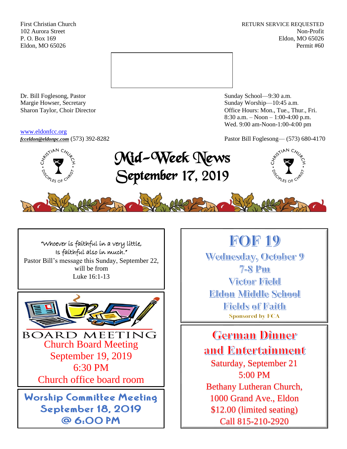First Christian Church **RETURN SERVICE REQUESTED** 102 Aurora Street Non-Profit P. O. Box 169 Eldon, MO 65026 Eldon, MO 65026 Permit #60



Dr. Bill Foglesong, Pastor Sunday School—9:30 a.m. Margie Howser, Secretary Sunday Worship—10:45 a.m.

#### [www.eldonfcc.org](http://www.eldonfcc.org/)

Sharon Taylor, Choir Director **Channel Controllering Controllering Controllering Controllering Controllering Controllering Controllering Controllering Controllering Controllering Controllering Controllering Controllering C** 8:30 a.m. – Noon – 1:00-4:00 p.m. Wed. 9:00 am-Noon-1:00-4:00 pm



*[fcceldon@eldonpc.com](mailto:fcceldon@eldonpc.com)* (573) 392-8282 Pastor Bill Foglesong— (573) 680-4170<br>  $\delta^{5^{5/14N}C_{\mathcal{H}_{\mathcal{U}_{\rho}}}}$  **Mid-Wook Mones** Mid-Week News September 17, 2019





"Whoever is faithful in a very little, Is faithful also in much." Pastor Bill's message this Sunday, September 22, will be from Luke 16:1-13



# **FOF 19**

Wednesday, October 9  $7 - 8$  Pm Victor Field **Eldon Middle School** Fields of Faith **Sponsored by FCA** 

**German Dinner** and Entertainment Saturday, September 21 5:00 PM Bethany Lutheran Church, 1000 Grand Ave., Eldon \$12.00 (limited seating) Call 815-210-2920